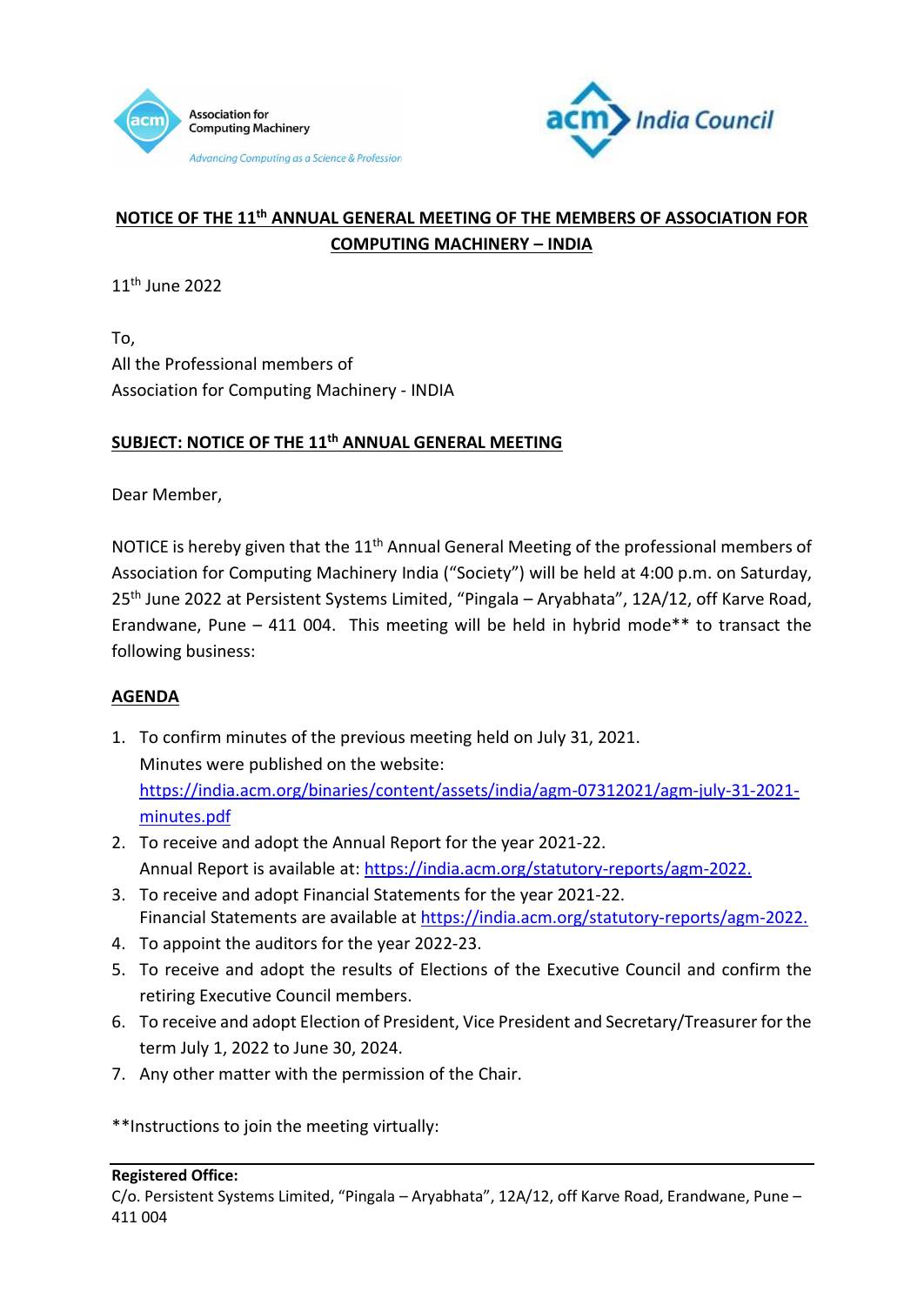



## **NOTICE OF THE 11th ANNUAL GENERAL MEETING OF THE MEMBERS OF ASSOCIATION FOR COMPUTING MACHINERY – INDIA**

11<sup>th</sup> June 2022

To, All the Professional members of Association for Computing Machinery - INDIA

## **SUBJECT: NOTICE OF THE 11th ANNUAL GENERAL MEETING**

Dear Member,

NOTICE is hereby given that the 11<sup>th</sup> Annual General Meeting of the professional members of Association for Computing Machinery India ("Society") will be held at 4:00 p.m. on Saturday, 25th June 2022 at Persistent Systems Limited, "Pingala – Aryabhata", 12A/12, off Karve Road, Erandwane, Pune  $-$  411 004. This meeting will be held in hybrid mode<sup>\*\*</sup> to transact the following business:

## **AGENDA**

- 1. To confirm minutes of the previous meeting held on July 31, 2021. Minutes were published on the website: [https://india.acm.org/binaries/content/assets/india/agm-07312021/agm-july-31-2021](https://india.acm.org/binaries/content/assets/india/agm-07312021/agm-july-31-2021-minutes.pdf) [minutes.pdf](https://india.acm.org/binaries/content/assets/india/agm-07312021/agm-july-31-2021-minutes.pdf)
- 2. To receive and adopt the Annual Report for the year 2021-22. Annual Report is available at: [https://india.acm.org/statutory-reports/agm-2022.](https://india.acm.org/statutory-reports/agm-2022)
- 3. To receive and adopt Financial Statements for the year 2021-22. Financial Statements are available at [https://india.acm.org/statutory-reports/agm-2022.](https://india.acm.org/statutory-reports/agm-2022)
- 4. To appoint the auditors for the year 2022-23.
- 5. To receive and adopt the results of Elections of the Executive Council and confirm the retiring Executive Council members.
- 6. To receive and adopt Election of President, Vice President and Secretary/Treasurer for the term July 1, 2022 to June 30, 2024.
- 7. Any other matter with the permission of the Chair.

\*\*Instructions to join the meeting virtually:

## **Registered Office:**

C/o. Persistent Systems Limited, "Pingala – Aryabhata", 12A/12, off Karve Road, Erandwane, Pune – 411 004